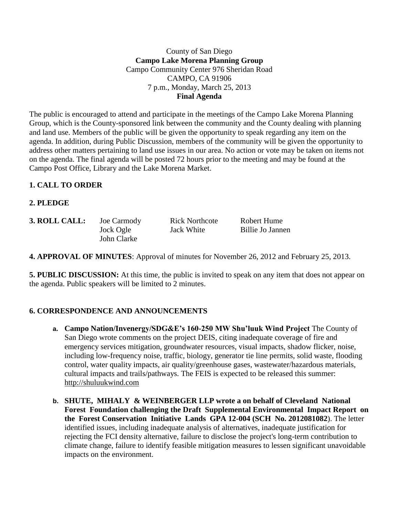County of San Diego **Campo Lake Morena Planning Group** Campo Community Center 976 Sheridan Road CAMPO, CA 91906 7 p.m., Monday, March 25, 2013 **Final Agenda**

The public is encouraged to attend and participate in the meetings of the Campo Lake Morena Planning Group, which is the County-sponsored link between the community and the County dealing with planning and land use. Members of the public will be given the opportunity to speak regarding any item on the agenda. In addition, during Public Discussion, members of the community will be given the opportunity to address other matters pertaining to land use issues in our area. No action or vote may be taken on items not on the agenda. The final agenda will be posted 72 hours prior to the meeting and may be found at the Campo Post Office, Library and the Lake Morena Market.

#### **1. CALL TO ORDER**

**2. PLEDGE**

| <b>3. ROLL CALL:</b> | Joe Carmody | <b>Rick Northcote</b> | Robert Hume      |
|----------------------|-------------|-----------------------|------------------|
|                      | Jock Ogle   | Jack White            | Billie Jo Jannen |
|                      | John Clarke |                       |                  |

**4. APPROVAL OF MINUTES**: Approval of minutes for November 26, 2012 and February 25, 2013.

**5. PUBLIC DISCUSSION:** At this time, the public is invited to speak on any item that does not appear on the agenda. Public speakers will be limited to 2 minutes.

## **6. CORRESPONDENCE AND ANNOUNCEMENTS**

- **a. Campo Nation/Invenergy/SDG&E's 160-250 MW Shu'luuk Wind Project** The County of San Diego wrote comments on the project DEIS, citing inadequate coverage of fire and emergency services mitigation, groundwater resources, visual impacts, shadow flicker, noise, including low-frequency noise, traffic, biology, generator tie line permits, solid waste, flooding control, water quality impacts, air quality/greenhouse gases, wastewater/hazardous materials, cultural impacts and trails/pathways. The FEIS is expected to be released this summer: [http://shuluukwind.com](http://shuluukwind.com/)
- **b. SHUTE, MIHALY & WEINBERGER LLP wrote a on behalf of Cleveland National Forest Foundation challenging the Draft Supplemental Environmental Impact Report on the Forest Conservation Initiative Lands GPA 12-004 (SCH No. 2012081082**). The letter identified issues, including inadequate analysis of alternatives, inadequate justification for rejecting the FCI density alternative, failure to disclose the project's long-term contribution to climate change, failure to identify feasible mitigation measures to lessen significant unavoidable impacts on the environment.